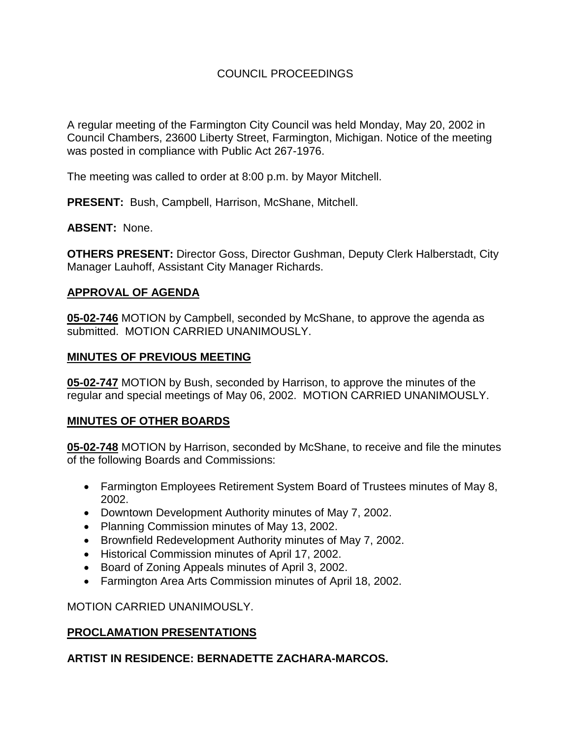# COUNCIL PROCEEDINGS

A regular meeting of the Farmington City Council was held Monday, May 20, 2002 in Council Chambers, 23600 Liberty Street, Farmington, Michigan. Notice of the meeting was posted in compliance with Public Act 267-1976.

The meeting was called to order at 8:00 p.m. by Mayor Mitchell.

**PRESENT:** Bush, Campbell, Harrison, McShane, Mitchell.

### **ABSENT:** None.

**OTHERS PRESENT:** Director Goss, Director Gushman, Deputy Clerk Halberstadt, City Manager Lauhoff, Assistant City Manager Richards.

### **APPROVAL OF AGENDA**

**05-02-746** MOTION by Campbell, seconded by McShane, to approve the agenda as submitted. MOTION CARRIED UNANIMOUSLY.

### **MINUTES OF PREVIOUS MEETING**

**05-02-747** MOTION by Bush, seconded by Harrison, to approve the minutes of the regular and special meetings of May 06, 2002. MOTION CARRIED UNANIMOUSLY.

# **MINUTES OF OTHER BOARDS**

**05-02-748** MOTION by Harrison, seconded by McShane, to receive and file the minutes of the following Boards and Commissions:

- Farmington Employees Retirement System Board of Trustees minutes of May 8, 2002.
- Downtown Development Authority minutes of May 7, 2002.
- Planning Commission minutes of May 13, 2002.
- Brownfield Redevelopment Authority minutes of May 7, 2002.
- Historical Commission minutes of April 17, 2002.
- Board of Zoning Appeals minutes of April 3, 2002.
- Farmington Area Arts Commission minutes of April 18, 2002.

MOTION CARRIED UNANIMOUSLY.

# **PROCLAMATION PRESENTATIONS**

# **ARTIST IN RESIDENCE: BERNADETTE ZACHARA-MARCOS.**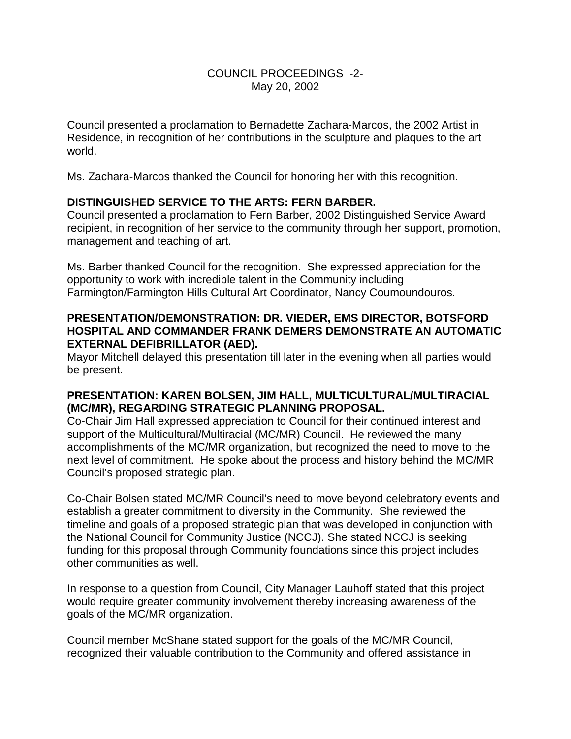# COUNCIL PROCEEDINGS -2- May 20, 2002

Council presented a proclamation to Bernadette Zachara-Marcos, the 2002 Artist in Residence, in recognition of her contributions in the sculpture and plaques to the art world.

Ms. Zachara-Marcos thanked the Council for honoring her with this recognition.

# **DISTINGUISHED SERVICE TO THE ARTS: FERN BARBER.**

Council presented a proclamation to Fern Barber, 2002 Distinguished Service Award recipient, in recognition of her service to the community through her support, promotion, management and teaching of art.

Ms. Barber thanked Council for the recognition. She expressed appreciation for the opportunity to work with incredible talent in the Community including Farmington/Farmington Hills Cultural Art Coordinator, Nancy Coumoundouros.

# **PRESENTATION/DEMONSTRATION: DR. VIEDER, EMS DIRECTOR, BOTSFORD HOSPITAL AND COMMANDER FRANK DEMERS DEMONSTRATE AN AUTOMATIC EXTERNAL DEFIBRILLATOR (AED).**

Mayor Mitchell delayed this presentation till later in the evening when all parties would be present.

### **PRESENTATION: KAREN BOLSEN, JIM HALL, MULTICULTURAL/MULTIRACIAL (MC/MR), REGARDING STRATEGIC PLANNING PROPOSAL.**

Co-Chair Jim Hall expressed appreciation to Council for their continued interest and support of the Multicultural/Multiracial (MC/MR) Council. He reviewed the many accomplishments of the MC/MR organization, but recognized the need to move to the next level of commitment. He spoke about the process and history behind the MC/MR Council's proposed strategic plan.

Co-Chair Bolsen stated MC/MR Council's need to move beyond celebratory events and establish a greater commitment to diversity in the Community. She reviewed the timeline and goals of a proposed strategic plan that was developed in conjunction with the National Council for Community Justice (NCCJ). She stated NCCJ is seeking funding for this proposal through Community foundations since this project includes other communities as well.

In response to a question from Council, City Manager Lauhoff stated that this project would require greater community involvement thereby increasing awareness of the goals of the MC/MR organization.

Council member McShane stated support for the goals of the MC/MR Council, recognized their valuable contribution to the Community and offered assistance in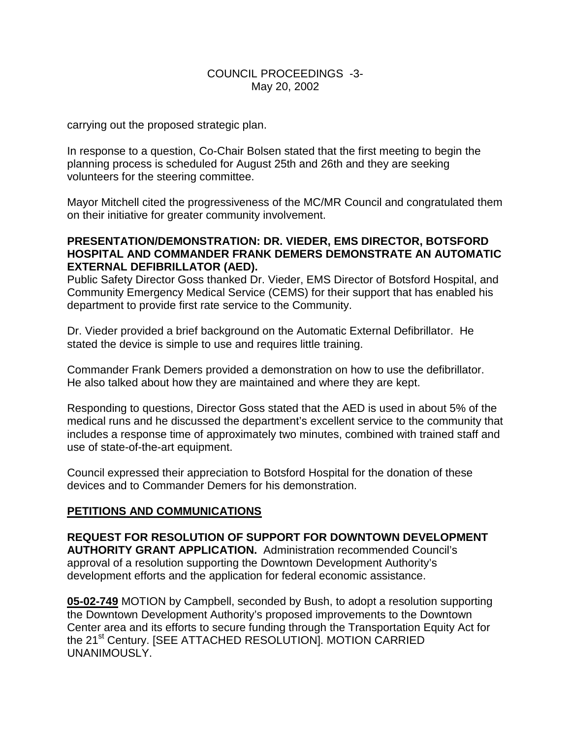# COUNCIL PROCEEDINGS -3- May 20, 2002

carrying out the proposed strategic plan.

In response to a question, Co-Chair Bolsen stated that the first meeting to begin the planning process is scheduled for August 25th and 26th and they are seeking volunteers for the steering committee.

Mayor Mitchell cited the progressiveness of the MC/MR Council and congratulated them on their initiative for greater community involvement.

# **PRESENTATION/DEMONSTRATION: DR. VIEDER, EMS DIRECTOR, BOTSFORD HOSPITAL AND COMMANDER FRANK DEMERS DEMONSTRATE AN AUTOMATIC EXTERNAL DEFIBRILLATOR (AED).**

Public Safety Director Goss thanked Dr. Vieder, EMS Director of Botsford Hospital, and Community Emergency Medical Service (CEMS) for their support that has enabled his department to provide first rate service to the Community.

Dr. Vieder provided a brief background on the Automatic External Defibrillator. He stated the device is simple to use and requires little training.

Commander Frank Demers provided a demonstration on how to use the defibrillator. He also talked about how they are maintained and where they are kept.

Responding to questions, Director Goss stated that the AED is used in about 5% of the medical runs and he discussed the department's excellent service to the community that includes a response time of approximately two minutes, combined with trained staff and use of state-of-the-art equipment.

Council expressed their appreciation to Botsford Hospital for the donation of these devices and to Commander Demers for his demonstration.

# **PETITIONS AND COMMUNICATIONS**

**REQUEST FOR RESOLUTION OF SUPPORT FOR DOWNTOWN DEVELOPMENT AUTHORITY GRANT APPLICATION.** Administration recommended Council's approval of a resolution supporting the Downtown Development Authority's development efforts and the application for federal economic assistance.

**05-02-749** MOTION by Campbell, seconded by Bush, to adopt a resolution supporting the Downtown Development Authority's proposed improvements to the Downtown Center area and its efforts to secure funding through the Transportation Equity Act for the 21<sup>st</sup> Century. [SEE ATTACHED RESOLUTION]. MOTION CARRIED UNANIMOUSLY.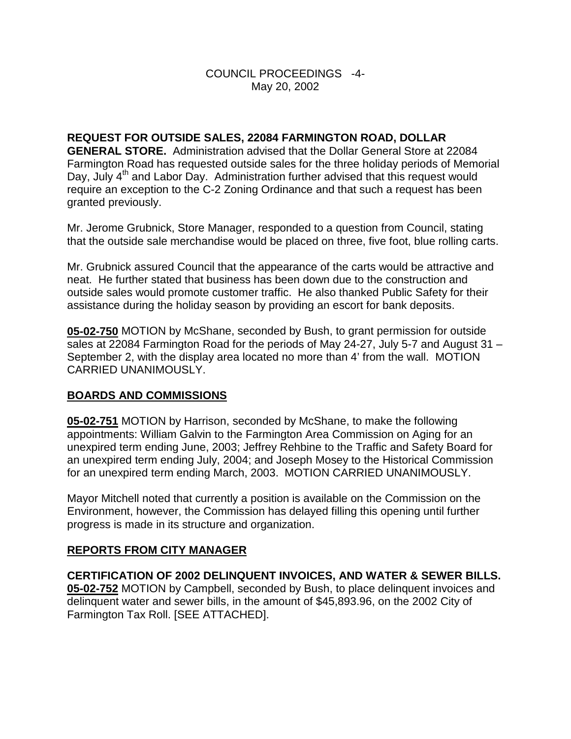# COUNCIL PROCEEDINGS -4- May 20, 2002

**REQUEST FOR OUTSIDE SALES, 22084 FARMINGTON ROAD, DOLLAR GENERAL STORE.** Administration advised that the Dollar General Store at 22084 Farmington Road has requested outside sales for the three holiday periods of Memorial Day, July  $4<sup>th</sup>$  and Labor Day. Administration further advised that this request would require an exception to the C-2 Zoning Ordinance and that such a request has been granted previously.

Mr. Jerome Grubnick, Store Manager, responded to a question from Council, stating that the outside sale merchandise would be placed on three, five foot, blue rolling carts.

Mr. Grubnick assured Council that the appearance of the carts would be attractive and neat. He further stated that business has been down due to the construction and outside sales would promote customer traffic. He also thanked Public Safety for their assistance during the holiday season by providing an escort for bank deposits.

**05-02-750** MOTION by McShane, seconded by Bush, to grant permission for outside sales at 22084 Farmington Road for the periods of May 24-27, July 5-7 and August 31 – September 2, with the display area located no more than 4' from the wall. MOTION CARRIED UNANIMOUSLY.

# **BOARDS AND COMMISSIONS**

**05-02-751** MOTION by Harrison, seconded by McShane, to make the following appointments: William Galvin to the Farmington Area Commission on Aging for an unexpired term ending June, 2003; Jeffrey Rehbine to the Traffic and Safety Board for an unexpired term ending July, 2004; and Joseph Mosey to the Historical Commission for an unexpired term ending March, 2003. MOTION CARRIED UNANIMOUSLY.

Mayor Mitchell noted that currently a position is available on the Commission on the Environment, however, the Commission has delayed filling this opening until further progress is made in its structure and organization.

# **REPORTS FROM CITY MANAGER**

**CERTIFICATION OF 2002 DELINQUENT INVOICES, AND WATER & SEWER BILLS. 05-02-752** MOTION by Campbell, seconded by Bush, to place delinquent invoices and delinquent water and sewer bills, in the amount of \$45,893.96, on the 2002 City of Farmington Tax Roll. [SEE ATTACHED].